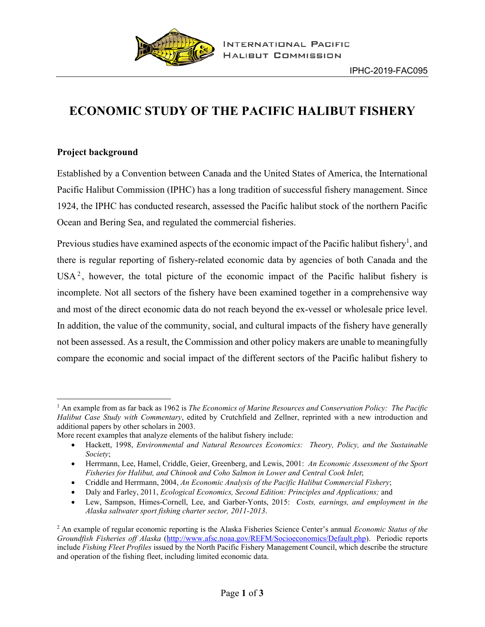

# **ECONOMIC STUDY OF THE PACIFIC HALIBUT FISHERY**

## **Project background**

Established by a Convention between Canada and the United States of America, the International Pacific Halibut Commission (IPHC) has a long tradition of successful fishery management. Since 1924, the IPHC has conducted research, assessed the Pacific halibut stock of the northern Pacific Ocean and Bering Sea, and regulated the commercial fisheries.

Previous studies have examined aspects of the economic impact of the Pacific halibut fishery<sup>1</sup>, and there is regular reporting of fishery-related economic data by agencies of both Canada and the  $USA<sup>2</sup>$ , however, the total picture of the economic impact of the Pacific halibut fishery is incomplete. Not all sectors of the fishery have been examined together in a comprehensive way and most of the direct economic data do not reach beyond the ex-vessel or wholesale price level. In addition, the value of the community, social, and cultural impacts of the fishery have generally not been assessed. As a result, the Commission and other policy makers are unable to meaningfully compare the economic and social impact of the different sectors of the Pacific halibut fishery to

<sup>1</sup> An example from as far back as 1962 is *The Economics of Marine Resources and Conservation Policy: The Pacific Halibut Case Study with Commentary*, edited by Crutchfield and Zellner, reprinted with a new introduction and additional papers by other scholars in 2003.

More recent examples that analyze elements of the halibut fishery include:

<sup>•</sup> Hackett, 1998, *Environmental and Natural Resources Economics: Theory, Policy, and the Sustainable Society*;

<sup>•</sup> Herrmann, Lee, Hamel, Criddle, Geier, Greenberg, and Lewis, 2001: *An Economic Assessment of the Sport Fisheries for Halibut, and Chinook and Coho Salmon in Lower and Central Cook Inlet*;

<sup>•</sup> Criddle and Herrmann, 2004, *An Economic Analysis of the Pacific Halibut Commercial Fishery*;

<sup>•</sup> Daly and Farley, 2011, *Ecological Economics, Second Edition: Principles and Applications;* and

<sup>•</sup> Lew, Sampson, Himes-Cornell, Lee, and Garber-Yonts, 2015: *Costs, earnings, and employment in the Alaska saltwater sport fishing charter sector, 2011-2013*.

<sup>2</sup> An example of regular economic reporting is the Alaska Fisheries Science Center's annual *Economic Status of the Groundfish Fisheries off Alaska* [\(http://www.afsc.noaa.gov/REFM/Socioeconomics/Default.php\)](http://www.afsc.noaa.gov/REFM/Socioeconomics/Default.php). Periodic reports include *Fishing Fleet Profiles* issued by the North Pacific Fishery Management Council, which describe the structure and operation of the fishing fleet, including limited economic data.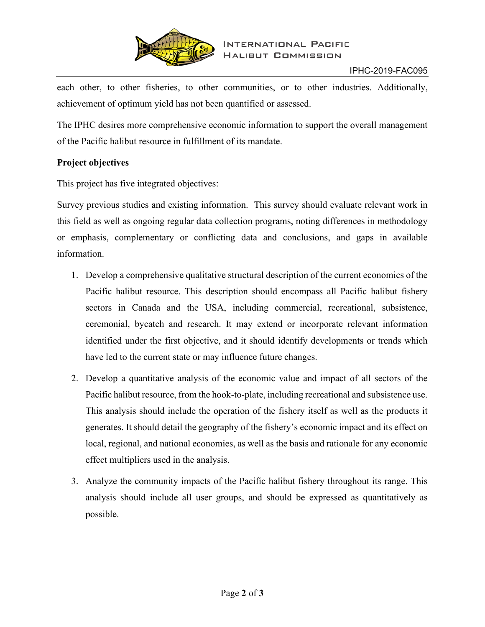

each other, to other fisheries, to other communities, or to other industries. Additionally, achievement of optimum yield has not been quantified or assessed.

The IPHC desires more comprehensive economic information to support the overall management of the Pacific halibut resource in fulfillment of its mandate.

## **Project objectives**

This project has five integrated objectives:

Survey previous studies and existing information. This survey should evaluate relevant work in this field as well as ongoing regular data collection programs, noting differences in methodology or emphasis, complementary or conflicting data and conclusions, and gaps in available information.

- 1. Develop a comprehensive qualitative structural description of the current economics of the Pacific halibut resource. This description should encompass all Pacific halibut fishery sectors in Canada and the USA, including commercial, recreational, subsistence, ceremonial, bycatch and research. It may extend or incorporate relevant information identified under the first objective, and it should identify developments or trends which have led to the current state or may influence future changes.
- 2. Develop a quantitative analysis of the economic value and impact of all sectors of the Pacific halibut resource, from the hook-to-plate, including recreational and subsistence use. This analysis should include the operation of the fishery itself as well as the products it generates. It should detail the geography of the fishery's economic impact and its effect on local, regional, and national economies, as well as the basis and rationale for any economic effect multipliers used in the analysis.
- 3. Analyze the community impacts of the Pacific halibut fishery throughout its range. This analysis should include all user groups, and should be expressed as quantitatively as possible.